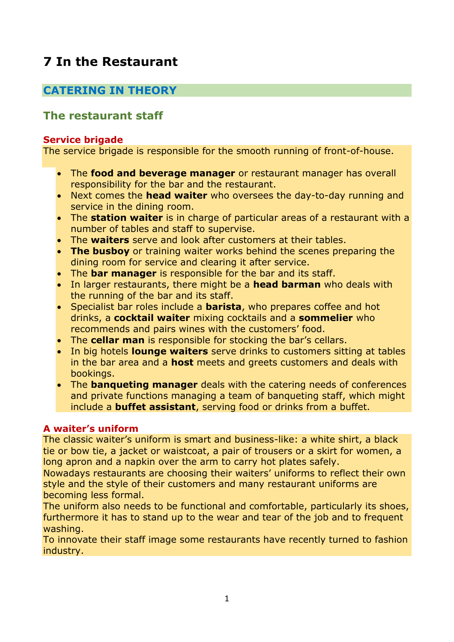# **7 In the Restaurant**

# **CATERING IN THEORY**

# **The restaurant staff**

# **Service brigade**

The service brigade is responsible for the smooth running of front-of-house.

- The **food and beverage manager** or restaurant manager has overall responsibility for the bar and the restaurant.
- Next comes the **head waiter** who oversees the day-to-day running and service in the dining room.
- The **station waiter** is in charge of particular areas of a restaurant with a number of tables and staff to supervise.
- The **waiters** serve and look after customers at their tables.
- **The busboy** or training waiter works behind the scenes preparing the dining room for service and clearing it after service.
- The **bar manager** is responsible for the bar and its staff.
- In larger restaurants, there might be a **head barman** who deals with the running of the bar and its staff.
- Specialist bar roles include a **barista**, who prepares coffee and hot drinks, a **cocktail waiter** mixing cocktails and a **sommelier** who recommends and pairs wines with the customers' food.
- The **cellar man** is responsible for stocking the bar's cellars.
- In big hotels **lounge waiters** serve drinks to customers sitting at tables in the bar area and a **host** meets and greets customers and deals with bookings.
- The **banqueting manager** deals with the catering needs of conferences and private functions managing a team of banqueting staff, which might include a **buffet assistant**, serving food or drinks from a buffet.

# **A waiter's uniform**

The classic waiter's uniform is smart and business-like: a white shirt, a black tie or bow tie, a jacket or waistcoat, a pair of trousers or a skirt for women, a long apron and a napkin over the arm to carry hot plates safely.

Nowadays restaurants are choosing their waiters' uniforms to reflect their own style and the style of their customers and many restaurant uniforms are becoming less formal.

The uniform also needs to be functional and comfortable, particularly its shoes, furthermore it has to stand up to the wear and tear of the job and to frequent washing.

To innovate their staff image some restaurants have recently turned to fashion industry.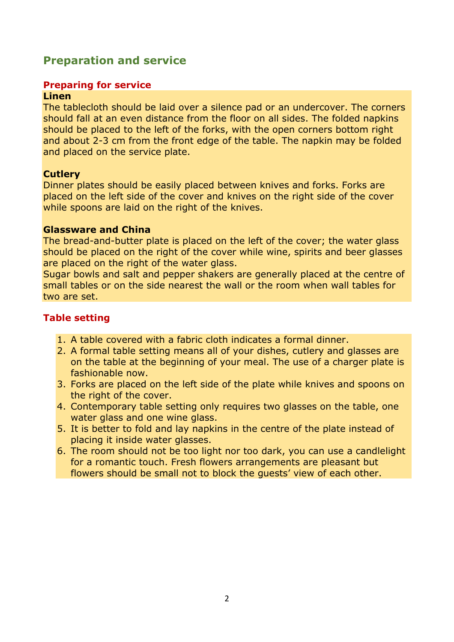# **Preparation and service**

## **Preparing for service**

#### **Linen**

The tablecloth should be laid over a silence pad or an undercover. The corners should fall at an even distance from the floor on all sides. The folded napkins should be placed to the left of the forks, with the open corners bottom right and about 2-3 cm from the front edge of the table. The napkin may be folded and placed on the service plate.

#### **Cutlery**

Dinner plates should be easily placed between knives and forks. Forks are placed on the left side of the cover and knives on the right side of the cover while spoons are laid on the right of the knives.

#### **Glassware and China**

The bread-and-butter plate is placed on the left of the cover; the water glass should be placed on the right of the cover while wine, spirits and beer glasses are placed on the right of the water glass.

Sugar bowls and salt and pepper shakers are generally placed at the centre of small tables or on the side nearest the wall or the room when wall tables for two are set.

# **Table setting**

- 1. A table covered with a fabric cloth indicates a formal dinner.
- 2. A formal table setting means all of your dishes, cutlery and glasses are on the table at the beginning of your meal. The use of a charger plate is fashionable now.
- 3. Forks are placed on the left side of the plate while knives and spoons on the right of the cover.
- 4. Contemporary table setting only requires two glasses on the table, one water glass and one wine glass.
- 5. It is better to fold and lay napkins in the centre of the plate instead of placing it inside water glasses.
- 6. The room should not be too light nor too dark, you can use a candlelight for a romantic touch. Fresh flowers arrangements are pleasant but flowers should be small not to block the guests' view of each other.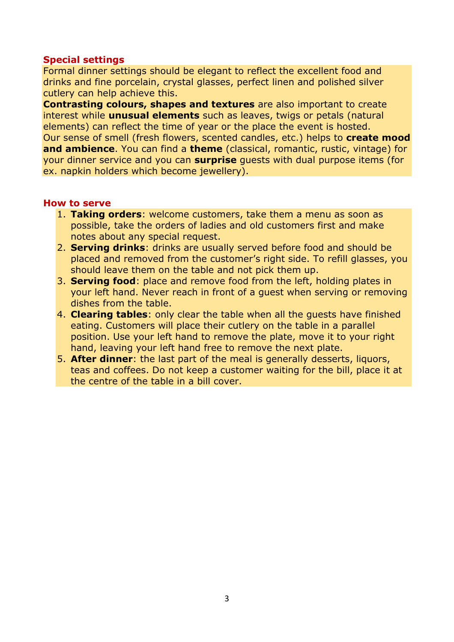### **Special settings**

Formal dinner settings should be elegant to reflect the excellent food and drinks and fine porcelain, crystal glasses, perfect linen and polished silver cutlery can help achieve this.

**Contrasting colours, shapes and textures** are also important to create interest while **unusual elements** such as leaves, twigs or petals (natural elements) can reflect the time of year or the place the event is hosted. Our sense of smell (fresh flowers, scented candles, etc.) helps to **create mood and ambience**. You can find a **theme** (classical, romantic, rustic, vintage) for your dinner service and you can **surprise** guests with dual purpose items (for ex. napkin holders which become jewellery).

#### **How to serve**

- 1. **Taking orders**: welcome customers, take them a menu as soon as possible, take the orders of ladies and old customers first and make notes about any special request.
- 2. **Serving drinks**: drinks are usually served before food and should be placed and removed from the customer's right side. To refill glasses, you should leave them on the table and not pick them up.
- 3. **Serving food**: place and remove food from the left, holding plates in your left hand. Never reach in front of a guest when serving or removing dishes from the table.
- 4. **Clearing tables**: only clear the table when all the guests have finished eating. Customers will place their cutlery on the table in a parallel position. Use your left hand to remove the plate, move it to your right hand, leaving your left hand free to remove the next plate.
- 5. **After dinner**: the last part of the meal is generally desserts, liquors, teas and coffees. Do not keep a customer waiting for the bill, place it at the centre of the table in a bill cover.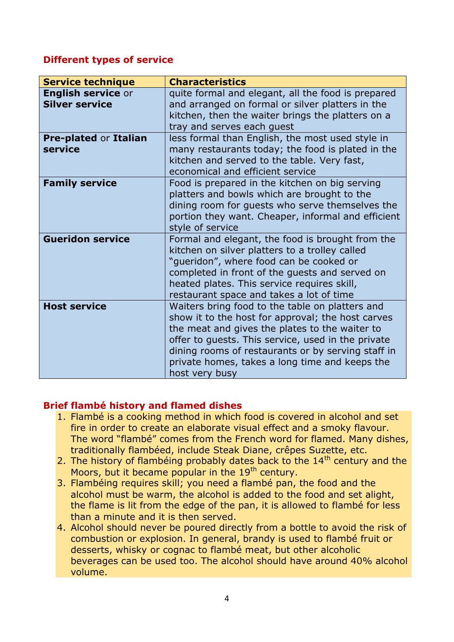## **Different types of service**

| <b>Service technique</b>                           | <b>Characteristics</b>                                                                                                                                                                                                                                                                                                                 |
|----------------------------------------------------|----------------------------------------------------------------------------------------------------------------------------------------------------------------------------------------------------------------------------------------------------------------------------------------------------------------------------------------|
| <b>English service or</b><br><b>Silver service</b> | quite formal and elegant, all the food is prepared<br>and arranged on formal or silver platters in the<br>kitchen, then the waiter brings the platters on a<br>tray and serves each guest                                                                                                                                              |
| <b>Pre-plated or Italian</b><br>service            | less formal than English, the most used style in<br>many restaurants today; the food is plated in the<br>kitchen and served to the table. Very fast,<br>economical and efficient service                                                                                                                                               |
| <b>Family service</b>                              | Food is prepared in the kitchen on big serving<br>platters and bowls which are brought to the<br>dining room for guests who serve themselves the<br>portion they want. Cheaper, informal and efficient<br>style of service                                                                                                             |
| <b>Gueridon service</b>                            | Formal and elegant, the food is brought from the<br>kitchen on silver platters to a trolley called<br>"gueridon", where food can be cooked or<br>completed in front of the quests and served on<br>heated plates. This service requires skill,<br>restaurant space and takes a lot of time                                             |
| <b>Host service</b>                                | Waiters bring food to the table on platters and<br>show it to the host for approval; the host carves<br>the meat and gives the plates to the waiter to<br>offer to guests. This service, used in the private<br>dining rooms of restaurants or by serving staff in<br>private homes, takes a long time and keeps the<br>host very busy |

# **Brief flambé history and flamed dishes**

- 1. Flambé is a cooking method in which food is covered in alcohol and set fire in order to create an elaborate visual effect and a smoky flavour. The word "flambé" comes from the French word for flamed. Many dishes, traditionally flambéed, include Steak Diane, crêpes Suzette, etc.
- 2. The history of flambéing probably dates back to the  $14<sup>th</sup>$  century and the Moors, but it became popular in the  $19<sup>th</sup>$  century.
- 3. Flambéing requires skill; you need a flambé pan, the food and the alcohol must be warm, the alcohol is added to the food and set alight, the flame is lit from the edge of the pan, it is allowed to flambé for less than a minute and it is then served.
- 4. Alcohol should never be poured directly from a bottle to avoid the risk of combustion or explosion. In general, brandy is used to flambé fruit or desserts, whisky or cognac to flambé meat, but other alcoholic beverages can be used too. The alcohol should have around 40% alcohol volume.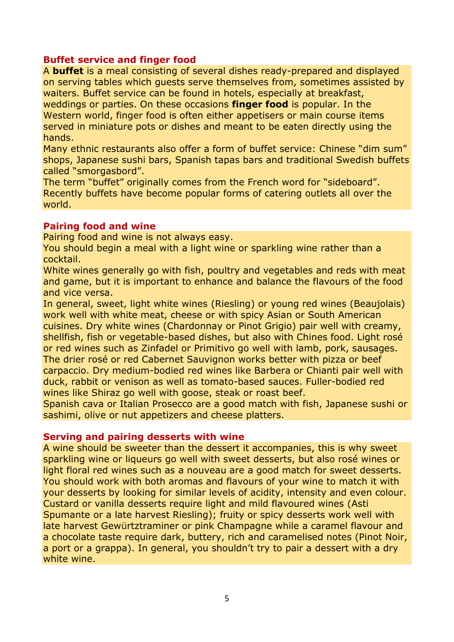### **Buffet service and finger food**

A **buffet** is a meal consisting of several dishes ready-prepared and displayed on serving tables which guests serve themselves from, sometimes assisted by waiters. Buffet service can be found in hotels, especially at breakfast, weddings or parties. On these occasions **finger food** is popular. In the Western world, finger food is often either appetisers or main course items served in miniature pots or dishes and meant to be eaten directly using the hands.

Many ethnic restaurants also offer a form of buffet service: Chinese "dim sum" shops, Japanese sushi bars, Spanish tapas bars and traditional Swedish buffets called "smorgasbord".

The term "buffet" originally comes from the French word for "sideboard". Recently buffets have become popular forms of catering outlets all over the world.

#### **Pairing food and wine**

Pairing food and wine is not always easy.

You should begin a meal with a light wine or sparkling wine rather than a cocktail.

White wines generally go with fish, poultry and vegetables and reds with meat and game, but it is important to enhance and balance the flavours of the food and vice versa.

In general, sweet, light white wines (Riesling) or young red wines (Beaujolais) work well with white meat, cheese or with spicy Asian or South American cuisines. Dry white wines (Chardonnay or Pinot Grigio) pair well with creamy, shellfish, fish or vegetable-based dishes, but also with Chines food. Light rosé or red wines such as Zinfadel or Primitivo go well with lamb, pork, sausages. The drier rosé or red Cabernet Sauvignon works better with pizza or beef carpaccio. Dry medium-bodied red wines like Barbera or Chianti pair well with duck, rabbit or venison as well as tomato-based sauces. Fuller-bodied red wines like Shiraz go well with goose, steak or roast beef.

Spanish cava or Italian Prosecco are a good match with fish, Japanese sushi or sashimi, olive or nut appetizers and cheese platters.

#### **Serving and pairing desserts with wine**

A wine should be sweeter than the dessert it accompanies, this is why sweet sparkling wine or liqueurs go well with sweet desserts, but also rosé wines or light floral red wines such as a nouveau are a good match for sweet desserts. You should work with both aromas and flavours of your wine to match it with your desserts by looking for similar levels of acidity, intensity and even colour. Custard or vanilla desserts require light and mild flavoured wines (Asti Spumante or a late harvest Riesling); fruity or spicy desserts work well with late harvest Gewürtztraminer or pink Champagne while a caramel flavour and a chocolate taste require dark, buttery, rich and caramelised notes (Pinot Noir, a port or a grappa). In general, you shouldn't try to pair a dessert with a dry white wine.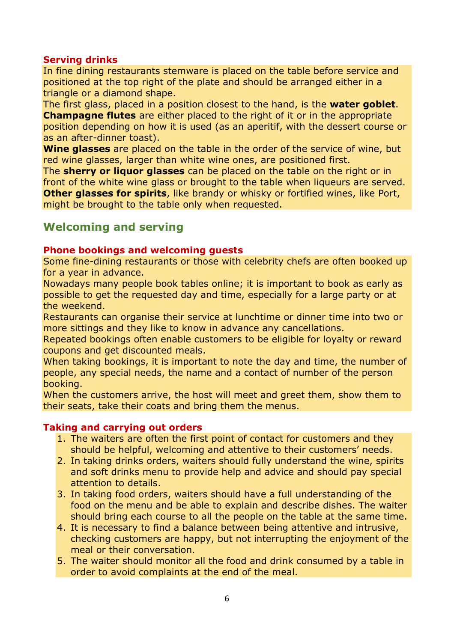### **Serving drinks**

In fine dining restaurants stemware is placed on the table before service and positioned at the top right of the plate and should be arranged either in a triangle or a diamond shape.

The first glass, placed in a position closest to the hand, is the **water goblet**. **Champagne flutes** are either placed to the right of it or in the appropriate position depending on how it is used (as an aperitif, with the dessert course or as an after-dinner toast).

**Wine glasses** are placed on the table in the order of the service of wine, but red wine glasses, larger than white wine ones, are positioned first.

The **sherry or liquor glasses** can be placed on the table on the right or in front of the white wine glass or brought to the table when liqueurs are served. **Other glasses for spirits**, like brandy or whisky or fortified wines, like Port, might be brought to the table only when requested.

# **Welcoming and serving**

### **Phone bookings and welcoming guests**

Some fine-dining restaurants or those with celebrity chefs are often booked up for a year in advance.

Nowadays many people book tables online; it is important to book as early as possible to get the requested day and time, especially for a large party or at the weekend.

Restaurants can organise their service at lunchtime or dinner time into two or more sittings and they like to know in advance any cancellations.

Repeated bookings often enable customers to be eligible for loyalty or reward coupons and get discounted meals.

When taking bookings, it is important to note the day and time, the number of people, any special needs, the name and a contact of number of the person booking.

When the customers arrive, the host will meet and greet them, show them to their seats, take their coats and bring them the menus.

### **Taking and carrying out orders**

- 1. The waiters are often the first point of contact for customers and they should be helpful, welcoming and attentive to their customers' needs.
- 2. In taking drinks orders, waiters should fully understand the wine, spirits and soft drinks menu to provide help and advice and should pay special attention to details.
- 3. In taking food orders, waiters should have a full understanding of the food on the menu and be able to explain and describe dishes. The waiter should bring each course to all the people on the table at the same time.
- 4. It is necessary to find a balance between being attentive and intrusive, checking customers are happy, but not interrupting the enjoyment of the meal or their conversation.
- 5. The waiter should monitor all the food and drink consumed by a table in order to avoid complaints at the end of the meal.